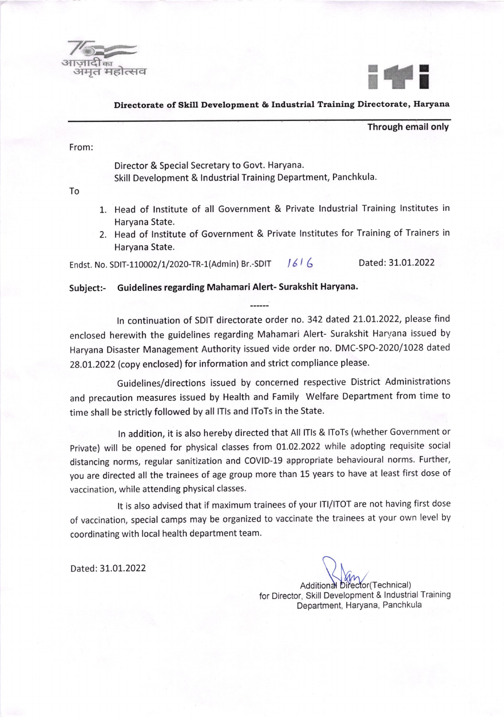



## Directorate of Skill Development & Industrial Training Directorate, Haryana

Through email only

From:

Director & Special Secretary to Govt. Haryana. Skill Development & Industrial Training Department, Panchkula.

To

- 1. Head of lnstitute of all Government & Private lndustrial Training lnstitutes in Haryana State.
- 2. Head of lnstitute of Government & Private lnstitutes for Training of Trainers in Haryana State.

Endst. No. SDIT-110002/1/2020-TR-1(Admin) Br.-SDIT  $1616$  Dated: 31.01.2022

Subject:- Guidelines regarding Mahamari Alert- Surakshit Haryana.

ln continuation of SDIT directorate order no.342 dated 2L.0L.2022, please find enclosed herewith the guidelines regarding Mahamari Alert- Surakshit Haryana issued by Haryana Disaster Management Authority issued vide order no. DMC-SPO-2020/L028 dated 28.01.2022 (copy enclosed) for information and strict compliance please.

Guidelines/directions issued by concerned respective District Administrations and precaution measures issued by Health and Family Welfare Department from time to time shall be strictly followed by all lTls and lToTs in the State.

ln addition, it is also hereby directed that All lTls & lToTs (whether Government or private) will be opened for physical classes from 01.02.2022 while adopting requisite social distancing norms, regular sanitization and COVID-19 appropriate behavioural norms. Further, you are directed all the trainees of age group more than 15 years to have at least first dose of vaccination, while attending physical classes.

It is also advised that if maximum trainees of your |T|/ITOT are not having first dose of vaccination, special camps may be organized to vaccinate the trainees at your own level by coordinating with local health department team'

Dated: 31.07.2022

Additional Director(Technical) for Director, Skill Development & Industrial Training Department, Haryana, Panchkula